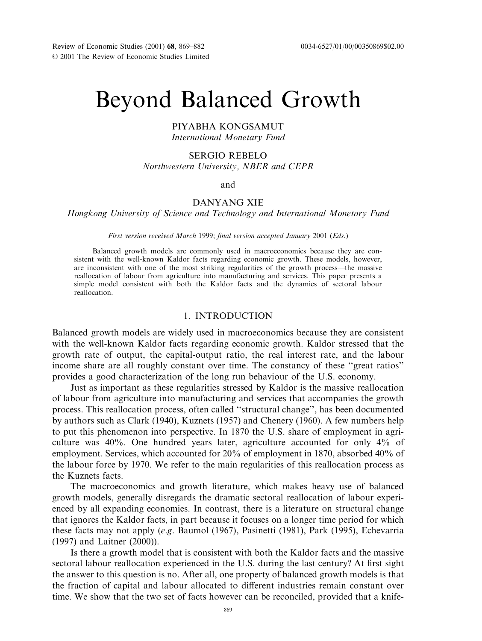# Beyond Balanced Growth

## PIYABHA KONGSAMUT International Monetary Fund

#### SERGIO REBELO

Northwestern University, NBER and CEPR

and

# DANYANG XIE

Hongkong University of Science and Technology and International Monetary Fund

#### First version received March 1999; final version accepted January 2001 (Eds.)

Balanced growth models are commonly used in macroeconomics because they are consistent with the well-known Kaldor facts regarding economic growth. These models, however, are inconsistent with one of the most striking regularities of the growth process—the massive reallocation of labour from agriculture into manufacturing and services. This paper presents a simple model consistent with both the Kaldor facts and the dynamics of sectoral labour reallocation.

## 1. INTRODUCTION

Balanced growth models are widely used in macroeconomics because they are consistent with the well-known Kaldor facts regarding economic growth. Kaldor stressed that the growth rate of output, the capital-output ratio, the real interest rate, and the labour income share are all roughly constant over time. The constancy of these ''great ratios'' provides a good characterization of the long run behaviour of the U.S. economy.

Just as important as these regularities stressed by Kaldor is the massive reallocation of labour from agriculture into manufacturing and services that accompanies the growth process. This reallocation process, often called ''structural change'', has been documented by authors such as Clark (1940), Kuznets (1957) and Chenery (1960). A few numbers help to put this phenomenon into perspective. In 1870 the U.S. share of employment in agriculture was 40%. One hundred years later, agriculture accounted for only 4% of employment. Services, which accounted for 20% of employment in 1870, absorbed 40% of the labour force by 1970. We refer to the main regularities of this reallocation process as the Kuznets facts.

The macroeconomics and growth literature, which makes heavy use of balanced growth models, generally disregards the dramatic sectoral reallocation of labour experienced by all expanding economies. In contrast, there is a literature on structural change that ignores the Kaldor facts, in part because it focuses on a longer time period for which these facts may not apply (e.g. Baumol (1967), Pasinetti (1981), Park (1995), Echevarria (1997) and Laitner (2000)).

Is there a growth model that is consistent with both the Kaldor facts and the massive sectoral labour reallocation experienced in the U.S. during the last century? At first sight the answer to this question is no. After all, one property of balanced growth models is that the fraction of capital and labour allocated to different industries remain constant over time. We show that the two set of facts however can be reconciled, provided that a knife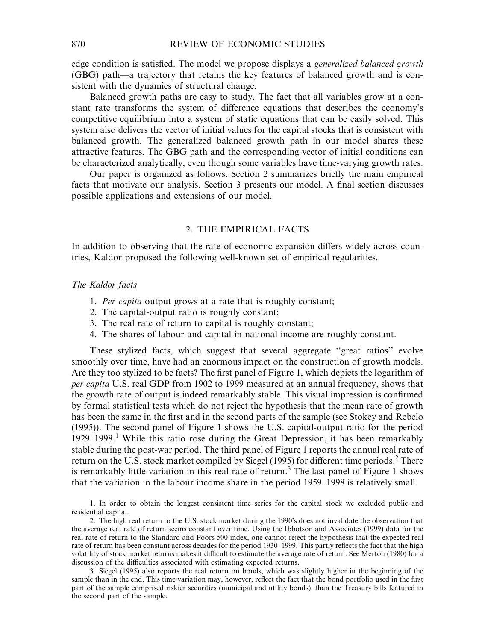edge condition is satisfied. The model we propose displays a generalized balanced growth (GBG) path—a trajectory that retains the key features of balanced growth and is consistent with the dynamics of structural change.

Balanced growth paths are easy to study. The fact that all variables grow at a constant rate transforms the system of difference equations that describes the economy's competitive equilibrium into a system of static equations that can be easily solved. This system also delivers the vector of initial values for the capital stocks that is consistent with balanced growth. The generalized balanced growth path in our model shares these attractive features. The GBG path and the corresponding vector of initial conditions can be characterized analytically, even though some variables have time-varying growth rates.

Our paper is organized as follows. Section 2 summarizes briefly the main empirical facts that motivate our analysis. Section 3 presents our model. A final section discusses possible applications and extensions of our model.

# 2. THE EMPIRICAL FACTS

In addition to observing that the rate of economic expansion differs widely across countries, Kaldor proposed the following well-known set of empirical regularities.

## The Kaldor facts

- 1. Per capita output grows at a rate that is roughly constant;
- 2. The capital-output ratio is roughly constant;
- 3. The real rate of return to capital is roughly constant;
- 4. The shares of labour and capital in national income are roughly constant.

These stylized facts, which suggest that several aggregate ''great ratios'' evolve smoothly over time, have had an enormous impact on the construction of growth models. Are they too stylized to be facts? The first panel of Figure 1, which depicts the logarithm of per capita U.S. real GDP from 1902 to 1999 measured at an annual frequency, shows that the growth rate of output is indeed remarkably stable. This visual impression is confirmed by formal statistical tests which do not reject the hypothesis that the mean rate of growth has been the same in the first and in the second parts of the sample (see Stokey and Rebelo (1995)). The second panel of Figure 1 shows the U.S. capital-output ratio for the period  $1929-1998$ <sup>1</sup>. While this ratio rose during the Great Depression, it has been remarkably stable during the post-war period. The third panel of Figure 1reports the annual real rate of return on the U.S. stock market compiled by Siegel (1995) for different time periods.<sup>2</sup> There is remarkably little variation in this real rate of return.<sup>3</sup> The last panel of Figure 1 shows that the variation in the labour income share in the period 1959–1998 is relatively small.

1. In order to obtain the longest consistent time series for the capital stock we excluded public and residential capital.

2. The high real return to the U.S. stock market during the 1990's does not invalidate the observation that the average real rate of return seems constant over time. Using the Ibbotson and Associates (1999) data for the real rate of return to the Standard and Poors 500 index, one cannot reject the hypothesis that the expected real rate of return has been constant across decades for the period 1930–1999. This partly reflects the fact that the high volatility of stock market returns makes it difficult to estimate the average rate of return. See Merton (1980) for a discussion of the difficulties associated with estimating expected returns.

3. Siegel (1995) also reports the real return on bonds, which was slightly higher in the beginning of the sample than in the end. This time variation may, however, reflect the fact that the bond portfolio used in the first part of the sample comprised riskier securities (municipal and utility bonds), than the Treasury bills featured in the second part of the sample.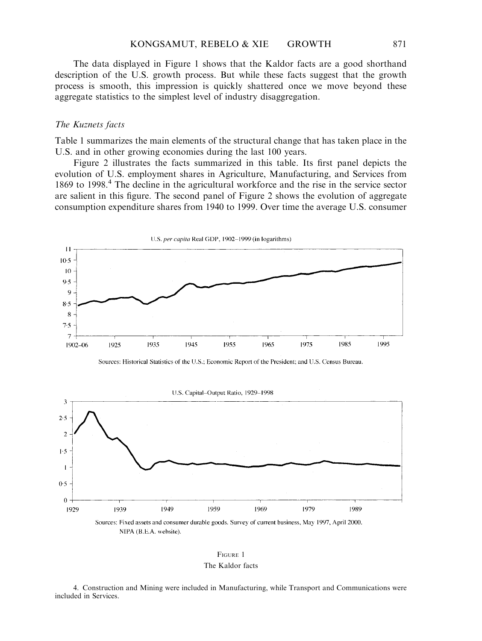The data displayed in Figure 1 shows that the Kaldor facts are a good shorthand description of the U.S. growth process. But while these facts suggest that the growth process is smooth, this impression is quickly shattered once we move beyond these aggregate statistics to the simplest level of industry disaggregation.

## The Kuznets facts

Table 1 summarizes the main elements of the structural change that has taken place in the U.S. and in other growing economies during the last 100 years.

Figure 2 illustrates the facts summarized in this table. Its first panel depicts the evolution of U.S. employment shares in Agriculture, Manufacturing, and Services from 1869 to 1998.<sup>4</sup> The decline in the agricultural workforce and the rise in the service sector are salient in this figure. The second panel of Figure 2 shows the evolution of aggregate consumption expenditure shares from 1940 to 1999. Over time the average U.S. consumer



Sources: Historical Statistics of the U.S.; Economic Report of the President; and U.S. Census Bureau.



FIGURE 1 The Kaldor facts

4. Construction and Mining were included in Manufacturing, while Transport and Communications were included in Services.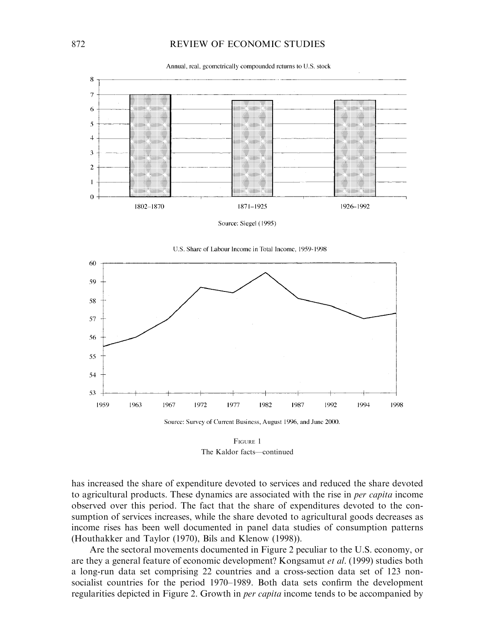## 872 REVIEW OF ECONOMIC STUDIES

Annual, real, geometrically compounded returns to U.S. stock



Source: Siegel (1995)





Source: Survey of Current Business, August 1996, and June 2000.

FIGURE 1 The Kaldor facts—continued

has increased the share of expenditure devoted to services and reduced the share devoted to agricultural products. These dynamics are associated with the rise in *per capita* income observed over this period. The fact that the share of expenditures devoted to the consumption of services increases, while the share devoted to agricultural goods decreases as income rises has been well documented in panel data studies of consumption patterns (Houthakker and Taylor (1970), Bils and Klenow (1998)).

Are the sectoral movements documented in Figure 2 peculiar to the U.S. economy, or are they a general feature of economic development? Kongsamut et al. (1999) studies both a long-run data set comprising 22 countries and a cross-section data set of 123 nonsocialist countries for the period 1970–1989. Both data sets confirm the development regularities depicted in Figure 2. Growth in per capita income tends to be accompanied by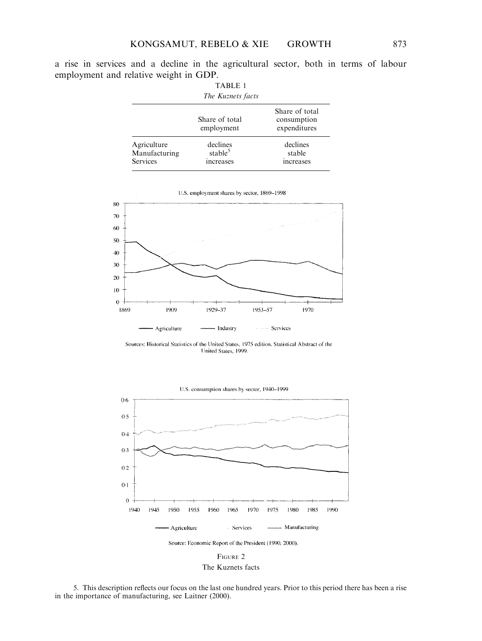a rise in services and a decline in the agricultural sector, both in terms of labour employment and relative weight in GDP.

|                                          | <b>TABLE 1</b><br>The Kuznets facts          |                                               |
|------------------------------------------|----------------------------------------------|-----------------------------------------------|
|                                          | Share of total<br>employment                 | Share of total<br>consumption<br>expenditures |
| Agriculture<br>Manufacturing<br>Services | declines<br>stable <sup>5</sup><br>increases | declines<br>stable<br>increases               |



Sources: Historical Statistics of the United States, 1975 edition. Statistical Abstract of the United States, 1999.



FIGURE 2 The Kuznets facts

5. This description reflects our focus on the last one hundred years. Prior to this period there has been a rise in the importance of manufacturing, see Laitner (2000).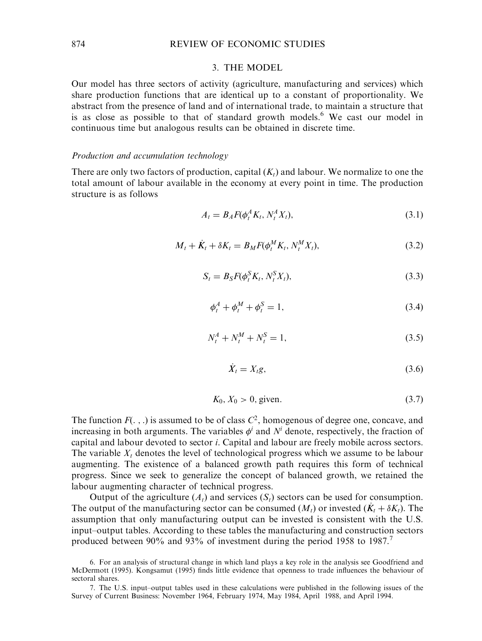#### 3. THE MODEL

Our model has three sectors of activity (agriculture, manufacturing and services) which share production functions that are identical up to a constant of proportionality. We abstract from the presence of land and of international trade, to maintain a structure that is as close as possible to that of standard growth models.<sup>6</sup> We cast our model in continuous time but analogous results can be obtained in discrete time.

## Production and accumulation technology

There are only two factors of production, capital  $(K_t)$  and labour. We normalize to one the total amount of labour available in the economy at every point in time. The production structure is as follows

$$
A_t = B_A F(\phi_t^A K_t, N_t^A X_t), \qquad (3.1)
$$

$$
M_t + \dot{K}_t + \delta K_t = B_M F(\phi_t^M K_t, N_t^M X_t), \qquad (3.2)
$$

$$
S_t = B_S F(\phi_t^S K_t, N_t^S X_t), \qquad (3.3)
$$

$$
\phi_t^A + \phi_t^M + \phi_t^S = 1,
$$
\n(3.4)

$$
N_t^A + N_t^M + N_t^S = 1,
$$
\n(3.5)

$$
\dot{X}_t = X_t g,\tag{3.6}
$$

$$
K_0, X_0 > 0, \text{ given.} \tag{3.7}
$$

The function  $F(\cdot, \cdot)$  is assumed to be of class  $C^2$ , homogenous of degree one, concave, and increasing in both arguments. The variables  $\phi^i$  and  $N^i$  denote, respectively, the fraction of capital and labour devoted to sector i. Capital and labour are freely mobile across sectors. The variable  $X_t$  denotes the level of technological progress which we assume to be labour augmenting. The existence of a balanced growth path requires this form of technical progress. Since we seek to generalize the concept of balanced growth, we retained the labour augmenting character of technical progress.

Output of the agriculture  $(A_t)$  and services  $(S_t)$  sectors can be used for consumption. The output of the manufacturing sector can be consumed  $(M_t)$  or invested  $(K_t + \delta K_t)$ . The assumption that only manufacturing output can be invested is consistent with the U.S. input–output tables. According to these tables the manufacturing and construction sectors produced between 90% and 93% of investment during the period 1958 to 1987.<sup>7</sup>

<sup>6.</sup> For an analysis of structural change in which land plays a key role in the analysis see Goodfriend and McDermott (1995). Kongsamut (1995) finds little evidence that openness to trade influences the behaviour of sectoral shares.

<sup>7.</sup> The U.S. input–output tables used in these calculations were published in the following issues of the Survey of Current Business: November 1964, February 1974, May 1984, April 1988, and April 1994.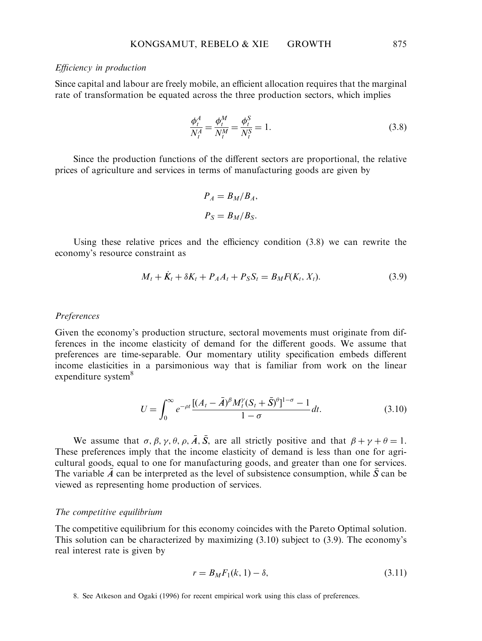## Efficiency in production

Since capital and labour are freely mobile, an efficient allocation requires that the marginal rate of transformation be equated across the three production sectors, which implies

$$
\frac{\phi_t^A}{N_t^A} = \frac{\phi_t^M}{N_t^M} = \frac{\phi_t^S}{N_t^S} = 1.
$$
\n(3.8)

Since the production functions of the different sectors are proportional, the relative prices of agriculture and services in terms of manufacturing goods are given by

$$
P_A = B_M / B_A,
$$
  

$$
P_S = B_M / B_S.
$$

Using these relative prices and the efficiency condition (3.8) we can rewrite the economy's resource constraint as

$$
M_t + \dot{K}_t + \delta K_t + P_A A_t + P_S S_t = B_M F(K_t, X_t).
$$
\n(3.9)

## Preferences

Given the economy's production structure, sectoral movements must originate from differences in the income elasticity of demand for the different goods. We assume that preferences are time-separable. Our momentary utility specification embeds different income elasticities in a parsimonious way that is familiar from work on the linear expenditure system<sup>8</sup>

$$
U = \int_0^\infty e^{-\rho t} \frac{[(A_t - \bar{A})^\beta M_t^\gamma (S_t + \bar{S})^\theta]^{1-\sigma} - 1}{1 - \sigma} dt.
$$
 (3.10)

We assume that  $\sigma$ ,  $\beta$ ,  $\gamma$ ,  $\theta$ ,  $\rho$ ,  $\overline{A}$ ,  $\overline{S}$ , are all strictly positive and that  $\beta + \gamma + \theta = 1$ . These preferences imply that the income elasticity of demand is less than one for agricultural goods, equal to one for manufacturing goods, and greater than one for services. The variable  $\bar{A}$  can be interpreted as the level of subsistence consumption, while  $\bar{S}$  can be viewed as representing home production of services.

#### The competitive equilibrium

The competitive equilibrium for this economy coincides with the Pareto Optimal solution. This solution can be characterized by maximizing  $(3.10)$  subject to  $(3.9)$ . The economy's real interest rate is given by

$$
r = B_M F_1(k, 1) - \delta,
$$
\n(3.11)

<sup>8.</sup> See Atkeson and Ogaki (1996) for recent empirical work using this class of preferences.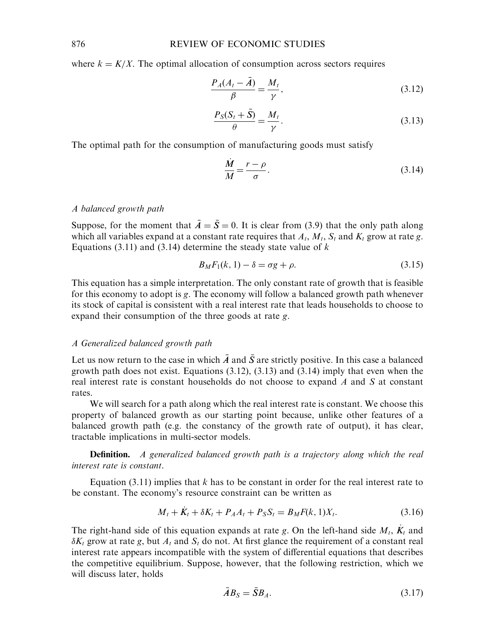where  $k = K/X$ . The optimal allocation of consumption across sectors requires

$$
\frac{P_A(A_t - \bar{A})}{\beta} = \frac{M_t}{\gamma},\tag{3.12}
$$

$$
\frac{P_S(S_t + \bar{S})}{\theta} = \frac{M_t}{\gamma}.
$$
\n(3.13)

The optimal path for the consumption of manufacturing goods must satisfy

$$
\frac{\dot{M}}{M} = \frac{r - \rho}{\sigma}.\tag{3.14}
$$

# A balanced growth path

Suppose, for the moment that  $\bar{A} = \bar{S} = 0$ . It is clear from (3.9) that the only path along which all variables expand at a constant rate requires that  $A_t$ ,  $M_t$ ,  $S_t$  and  $K_t$  grow at rate g. Equations (3.11) and (3.14) determine the steady state value of  $k$ 

$$
B_M F_1(k, 1) - \delta = \sigma g + \rho. \tag{3.15}
$$

This equation has a simple interpretation. The only constant rate of growth that is feasible for this economy to adopt is g. The economy will follow a balanced growth path whenever its stock of capital is consistent with a real interest rate that leads households to choose to expand their consumption of the three goods at rate g.

## A Generalized balanced growth path

Let us now return to the case in which  $\bar{A}$  and  $\bar{S}$  are strictly positive. In this case a balanced growth path does not exist. Equations  $(3.12)$ ,  $(3.13)$  and  $(3.14)$  imply that even when the real interest rate is constant households do not choose to expand  $A$  and  $S$  at constant rates.

We will search for a path along which the real interest rate is constant. We choose this property of balanced growth as our starting point because, unlike other features of a balanced growth path (e.g. the constancy of the growth rate of output), it has clear, tractable implications in multi-sector models.

**Definition.** A generalized balanced growth path is a trajectory along which the real interest rate is constant.

Equation (3.11) implies that  $k$  has to be constant in order for the real interest rate to be constant. The economy's resource constraint can be written as

$$
M_t + \dot{K}_t + \delta K_t + P_A A_t + P_S S_t = B_M F(k, 1) X_t.
$$
 (3.16)

The right-hand side of this equation expands at rate g. On the left-hand side  $M_t$ ,  $K_t$  and  $\delta K_t$  grow at rate g, but  $A_t$  and  $S_t$  do not. At first glance the requirement of a constant real interest rate appears incompatible with the system of differential equations that describes the competitive equilibrium. Suppose, however, that the following restriction, which we will discuss later, holds

$$
\bar{A}B_S = \bar{S}B_A. \tag{3.17}
$$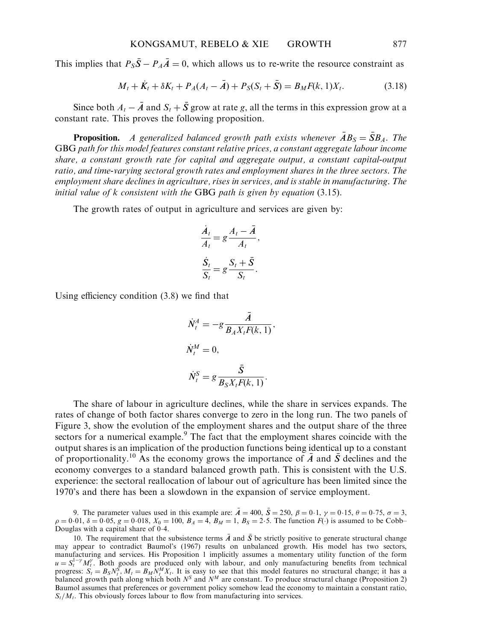This implies that  $P_{\rm S} \bar{S} - P_A \bar{A} = 0$ , which allows us to re-write the resource constraint as

$$
M_t + \dot{K}_t + \delta K_t + P_A(A_t - \bar{A}) + P_S(S_t + \bar{S}) = B_M F(k, 1) X_t.
$$
 (3.18)

Since both  $A_t - \bar{A}$  and  $S_t + \bar{S}$  grow at rate g, all the terms in this expression grow at a constant rate. This proves the following proposition.

**Proposition.** A generalized balanced growth path exists whenever  $\overline{A}B_S = \overline{S}B_A$ . The GBG path for this model features constant relative prices, a constant aggregate labour income share, a constant growth rate for capital and aggregate output, a constant capital-output ratio, and time-varying sectoral growth rates and employment shares in the three sectors. The employment share declines in agriculture, rises in services, and is stable in manufacturing. The initial value of k consistent with the GBG path is given by equation (3.15).

The growth rates of output in agriculture and services are given by:

$$
\frac{\dot{A}_t}{A_t} = g \frac{A_t - \bar{A}}{A_t},
$$

$$
\frac{\dot{S}_t}{S_t} = g \frac{S_t + \bar{S}}{S_t}.
$$

Using efficiency condition (3.8) we find that

$$
\dot{N}_t^A = -g \frac{\bar{A}}{B_A X_t F(k, 1)},
$$
  

$$
\dot{N}_t^M = 0,
$$
  

$$
\dot{N}_t^S = g \frac{\bar{S}}{B_S X_t F(k, 1)}.
$$

The share of labour in agriculture declines, while the share in services expands. The rates of change of both factor shares converge to zero in the long run. The two panels of Figure 3, show the evolution of the employment shares and the output share of the three sectors for a numerical example.<sup>9</sup> The fact that the employment shares coincide with the output shares is an implication of the production functions being identical up to a constant of proportionality.<sup>10</sup> As the economy grows the importance of  $\overline{A}$  and  $\overline{S}$  declines and the economy converges to a standard balanced growth path. This is consistent with the U.S. experience: the sectoral reallocation of labour out of agriculture has been limited since the 1970's and there has been a slowdown in the expansion of service employment.

9. The parameter values used in this example are:  $\bar{A} = 400$ ,  $\bar{S} = 250$ ,  $\beta = 0.1$ ,  $\gamma = 0.15$ ,  $\theta = 0.75$ ,  $\sigma = 3$ ,  $\rho = 0.01$ ,  $\delta = 0.05$ ,  $g = 0.018$ ,  $X_0 = 100$ ,  $B_A = 4$ ,  $B_M = 1$ ,  $B_S = 2.5$ . The function  $F(.)$  is assumed to be Cobb– Douglas with a capital share of 0 4.

<sup>10.</sup> The requirement that the subsistence terms  $\vec{A}$  and  $\vec{S}$  be strictly positive to generate structural change may appear to contradict Baumol's (1967) results on unbalanced growth. His model has two sectors, manufacturing and services. His Proposition 1 implicitly assumes a momentary utility function of the form  $u = S_t^{1-\gamma} M_t^{\gamma}$ . Both goods are produced only with labour, and only manufacturing benefits from technical progress:  $S_t = B_S N_t^S$ ,  $M_t = B_M N_t^M X_t$ . It is easy to see that this model features no structural change; it has a b Baumol assumes that preferences or government policy somehow lead the economy to maintain a constant ratio,  $S_t/M_t$ . This obviously forces labour to flow from manufacturing into services.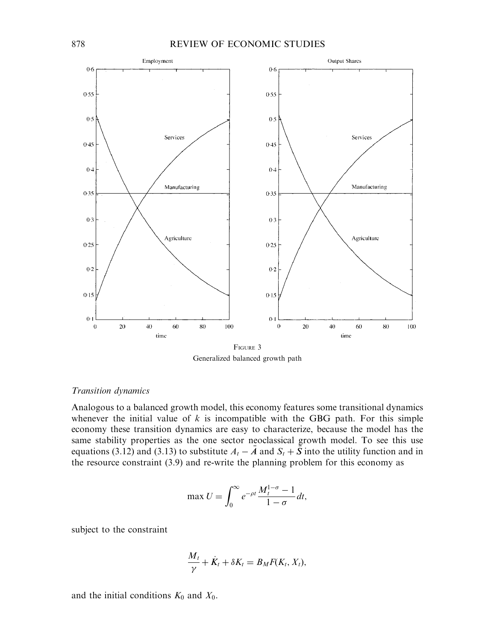

Generalized balanced growth path

# Transition dynamics

Analogous to a balanced growth model, this economy features some transitional dynamics whenever the initial value of  $k$  is incompatible with the GBG path. For this simple economy these transition dynamics are easy to characterize, because the model has the same stability properties as the one sector neoclassical growth model. To see this use equations (3.12) and (3.13) to substitute  $A_t - \overline{A}$  and  $S_t + \overline{S}$  into the utility function and in the resource constraint (3.9) and re-write the planning problem for this economy as

$$
\max U = \int_0^\infty e^{-\rho t} \frac{M_t^{1-\sigma} - 1}{1 - \sigma} dt,
$$

subject to the constraint

$$
\frac{M_t}{\gamma} + \dot{K}_t + \delta K_t = B_M F(K_t, X_t),
$$

and the initial conditions  $K_0$  and  $X_0$ .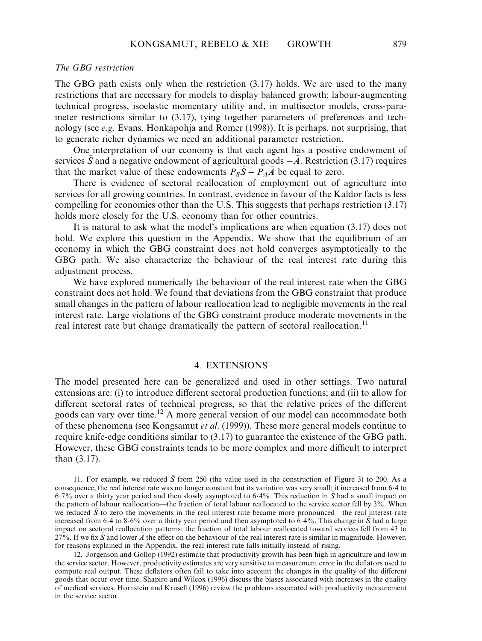## The GBG restriction

The GBG path exists only when the restriction (3.17) holds. We are used to the many restrictions that are necessary for models to display balanced growth: labour-augmenting technical progress, isoelastic momentary utility and, in multisector models, cross-parameter restrictions similar to (3.17), tying together parameters of preferences and technology (see  $e.g.$  Evans, Honkapohja and Romer (1998)). It is perhaps, not surprising, that to generate richer dynamics we need an additional parameter restriction.

One interpretation of our economy is that each agent has a positive endowment of services  $\bar{S}$  and a negative endowment of agricultural goods  $-\bar{A}$ . Restriction (3.17) requires that the market value of these endowments  $P_{S}\bar{S} - P_{A}\bar{A}$  be equal to zero.

There is evidence of sectoral reallocation of employment out of agriculture into services for all growing countries. In contrast, evidence in favour of the Kaldor facts is less compelling for economies other than the U.S. This suggests that perhaps restriction (3.17) holds more closely for the U.S. economy than for other countries.

It is natural to ask what the model's implications are when equation (3.17) does not hold. We explore this question in the Appendix. We show that the equilibrium of an economy in which the GBG constraint does not hold converges asymptotically to the GBG path. We also characterize the behaviour of the real interest rate during this adjustment process.

We have explored numerically the behaviour of the real interest rate when the GBG constraint does not hold. We found that deviations from the GBG constraint that produce small changes in the pattern of labour reallocation lead to negligible movements in the real interest rate. Large violations of the GBG constraint produce moderate movements in the real interest rate but change dramatically the pattern of sectoral reallocation.<sup>11</sup>

## 4. EXTENSIONS

The model presented here can be generalized and used in other settings. Two natural extensions are: (i) to introduce different sectoral production functions; and (ii) to allow for different sectoral rates of technical progress, so that the relative prices of the different goods can vary over time.12 A more general version of our model can accommodate both of these phenomena (see Kongsamut *et al.* (1999)). These more general models continue to require knife-edge conditions similar to (3.17) to guarantee the existence of the GBG path. However, these GBG constraints tends to be more complex and more difficult to interpret than (3.17).

12. Jorgenson and Gollop (1992) estimate that productivity growth has been high in agriculture and low in the service sector. However, productivity estimates are very sensitive to measurement error in the deflators used to compute real output. These deflators often fail to take into account the changes in the quality of the different goods that occur over time. Shapiro and Wilcox (1996) discuss the biases associated with increases in the quality of medical services. Hornstein and Krusell (1996) review the problems associated with productivity measurement in the service sector.

<sup>11.</sup> For example, we reduced  $\bar{S}$  from 250 (the value used in the construction of Figure 3) to 200. As a consequence, the real interest rate was no longer constant but its variation was very small: it increased from 6.4 to 6.7% over a thirty year period and then slowly asymptoted to 6.4%. This reduction in  $\bar{S}$  had a small impact on the pattern of labour reallocation—the fraction of total labour reallocated to the service sector fell by 3%. When we reduced  $S$  to zero the movements in the real interest rate became more pronounced—the real interest rate increased from 6.4 to 8.6% over a thirty year period and then asymptoted to 6.4%. This change in  $\bar{S}$  had a large impact on sectoral reallocation patterns: the fraction of total labour reallocated toward services fell from 43 to 27%. If we fix  $\bar{S}$  and lower  $\bar{A}$  the effect on the behaviour of the real interest rate is similar in magnitude. However, for reasons explained in the Appendix, the real interest rate falls initially instead of rising.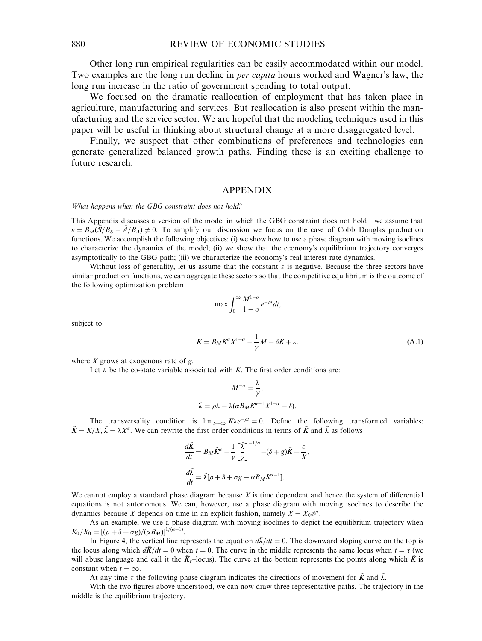Other long run empirical regularities can be easily accommodated within our model. Two examples are the long run decline in *per capita* hours worked and Wagner's law, the long run increase in the ratio of government spending to total output.

We focused on the dramatic reallocation of employment that has taken place in agriculture, manufacturing and services. But reallocation is also present within the manufacturing and the service sector. We are hopeful that the modeling techniques used in this paper will be useful in thinking about structural change at a more disaggregated level.

Finally, we suspect that other combinations of preferences and technologies can generate generalized balanced growth paths. Finding these is an exciting challenge to future research.

#### APPENDIX

What happens when the GBG constraint does not hold?

This Appendix discusses a version of the model in which the GBG constraint does not hold—we assume that  $\varepsilon = B_M(\bar{S}/B_S - \bar{A}/B_A) \neq 0$ . To simplify our discussion we focus on the case of Cobb–Douglas production functions. We accomplish the following objectives: (i) we show how to use a phase diagram with moving isoclines to characterize the dynamics of the model; (ii) we show that the economy's equilibrium trajectory converges asymptotically to the GBG path; (iii) we characterize the economy's real interest rate dynamics.

Without loss of generality, let us assume that the constant  $\varepsilon$  is negative. Because the three sectors have similar production functions, we can aggregate these sectors so that the competitive equilibrium is the outcome of the following optimization problem

$$
\max \int_0^\infty \frac{M^{1-\sigma}}{1-\sigma} e^{-\rho t} dt,
$$

subject to

$$
\dot{K} = B_M K^{\alpha} X^{1-\alpha} - \frac{1}{\gamma} M - \delta K + \varepsilon. \tag{A.1}
$$

where  $X$  grows at exogenous rate of  $g$ .

Let  $\lambda$  be the co-state variable associated with K. The first order conditions are:

$$
M^{-\sigma} = \frac{\lambda}{\gamma},
$$
  

$$
\lambda = \rho \lambda - \lambda (\alpha B_M K^{\alpha - 1} X^{1 - \alpha} - \delta).
$$

The transversality condition is  $\lim_{t\to\infty} K\lambda e^{-\rho t} = 0$ . Define the following transformed variables:  $\tilde{K} = K/X$ ,  $\tilde{\lambda} = \lambda X^{\sigma}$ . We can rewrite the first order conditions in terms of  $\tilde{K}$  and  $\tilde{\lambda}$  as follows

 $\overline{1}$ 

$$
\frac{d\tilde{K}}{dt} = B_M \tilde{K}^{\alpha} - \frac{1}{\gamma} \left[ \frac{\tilde{\lambda}}{\gamma} \right]^{-1/\sigma} - (\delta + g) \tilde{K} + \frac{\varepsilon}{\tilde{K}},
$$

$$
\frac{d\tilde{\lambda}}{dt} = \tilde{\lambda} [\rho + \delta + \sigma g - \alpha B_M \tilde{K}^{\alpha - 1}].
$$

We cannot employ a standard phase diagram because  $X$  is time dependent and hence the system of differential equations is not autonomous. We can, however, use a phase diagram with moving isoclines to describe the dynamics because X depends on time in an explicit fashion, namely  $X = X_0e^{gt}$ .

As an example, we use a phase diagram with moving isoclines to depict the equilibrium trajectory when  $K_0/X_0 = [(\rho + \delta + \sigma g)/(\alpha B_M)]^{1/(\alpha-1)}.$ 

In Figure 4, the vertical line represents the equation  $d\tilde{\lambda}/dt = 0$ . The downward sloping curve on the top is the locus along which  $d\tilde{K}/dt = 0$  when  $t = 0$ . The curve in the middle represents the same locus when  $t = \tau$  (we will abuse language and call it the  $K_{\tau}$ –locus). The curve at the bottom represents the points along which  $\tilde{K}$  is constant when  $t = \infty$ .

At any time  $\tau$  the following phase diagram indicates the directions of movement for  $\tilde{K}$  and  $\tilde{\lambda}$ .

With the two figures above understood, we can now draw three representative paths. The trajectory in the middle is the equilibrium trajectory.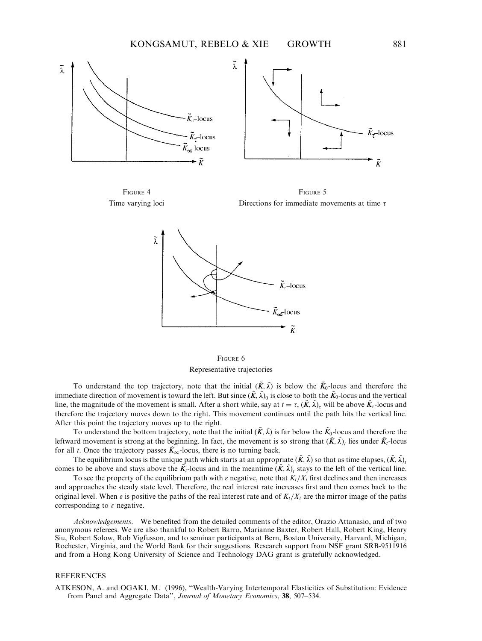

FIGURE 4 Time varying loci

FIGURE 5 Directions for immediate movements at time  $\tau$ 



FIGURE 6 Representative trajectories

To understand the top trajectory, note that the initial  $(K, \tilde{\lambda})$  is below the  $K_0$ -locus and therefore the immediate direction of movement is toward the left. But since  $(\tilde{K}, \tilde{\lambda})_0$  is close to both the  $\tilde{K}_0$ -locus and the vertical line, the magnitude of the movement is small. After a short while, say at  $t = \tau$ ,  $(\tilde{K}, \tilde{\lambda})_{\tau}$  will be above  $\tilde{K}_{\tau}$ -locus and therefore the trajectory moves down to the right. This movement continues until the path hits the vertical line. After this point the trajectory moves up to the right.

To understand the bottom trajectory, note that the initial  $(\tilde{K}, \tilde{\lambda})$  is far below the  $\tilde{K}_0$ -locus and therefore the leftward movement is strong at the beginning. In fact, the movement is so strong that  $(\tilde{K}, \tilde{\lambda})_t$  lies under  $\tilde{K}_t$ -locus for all t. Once the trajectory passes  $\tilde{K}_{\infty}$ -locus, there is no turning back.

The equilibrium locus is the unique path which starts at an appropriate  $(\tilde{K}, \tilde{\lambda})$  so that as time elapses,  $(\tilde{K}, \tilde{\lambda})$ . comes to be above and stays above the  $K_t$ -locus and in the meantime  $(K, \tilde{\lambda})$ , stays to the left of the vertical line.

To see the property of the equilibrium path with  $\varepsilon$  negative, note that  $K_t/X_t$  first declines and then increases and approaches the steady state level. Therefore, the real interest rate increases first and then comes back to the original level. When  $\varepsilon$  is positive the paths of the real interest rate and of  $K_t/X_t$  are the mirror image of the paths corresponding to  $\varepsilon$  negative.

Acknowledgements. We benefited from the detailed comments of the editor, Orazio Attanasio, and of two anonymous referees. We are also thankful to Robert Barro, Marianne Baxter, Robert Hall, Robert King, Henry Siu, Robert Solow, Rob Vigfusson, and to seminar participants at Bern, Boston University, Harvard, Michigan, Rochester, Virginia, and the World Bank for their suggestions. Research support from NSF grant SRB-9511916 and from a Hong Kong University of Science and Technology DAG grant is gratefully acknowledged.

#### **REFERENCES**

ATKESON, A. and OGAKI, M. (1996), ''Wealth-Varying Intertemporal Elasticities of Substitution: Evidence from Panel and Aggregate Data'', Journal of Monetary Economics, 38, 507–534.